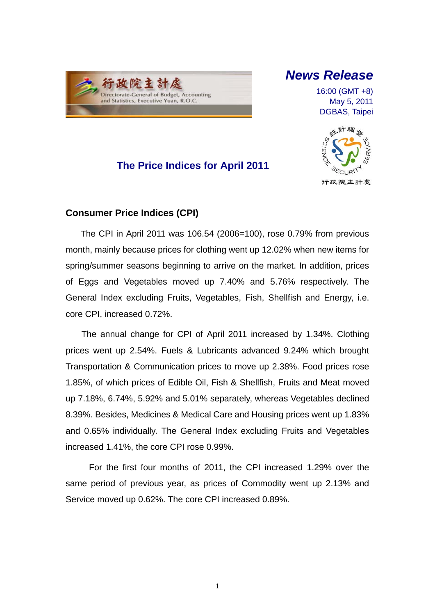

## *News Release*

16:00 (GMT +8) May 5, 2011 DGBAS, Taipei



### **The Price Indices for April 2011**

### **Consumer Price Indices (CPI)**

The CPI in April 2011 was 106.54 (2006=100), rose 0.79% from previous month, mainly because prices for clothing went up 12.02% when new items for spring/summer seasons beginning to arrive on the market. In addition, prices of Eggs and Vegetables moved up 7.40% and 5.76% respectively. The General Index excluding Fruits, Vegetables, Fish, Shellfish and Energy, i.e. core CPI, increased 0.72%.

The annual change for CPI of April 2011 increased by 1.34%. Clothing prices went up 2.54%. Fuels & Lubricants advanced 9.24% which brought Transportation & Communication prices to move up 2.38%. Food prices rose 1.85%, of which prices of Edible Oil, Fish & Shellfish, Fruits and Meat moved up 7.18%, 6.74%, 5.92% and 5.01% separately, whereas Vegetables declined 8.39%. Besides, Medicines & Medical Care and Housing prices went up 1.83% and 0.65% individually. The General Index excluding Fruits and Vegetables increased 1.41%, the core CPI rose 0.99%.

For the first four months of 2011, the CPI increased 1.29% over the same period of previous year, as prices of Commodity went up 2.13% and Service moved up 0.62%. The core CPI increased 0.89%.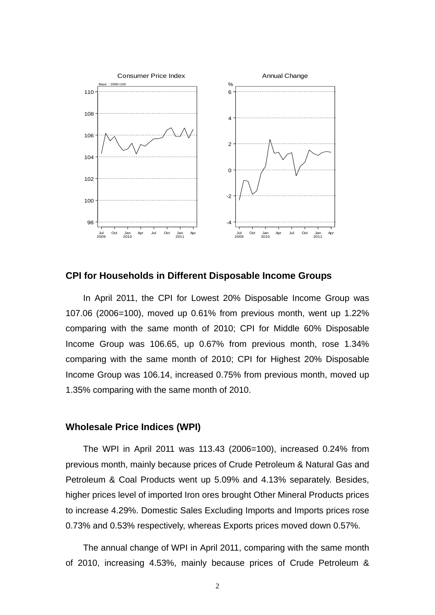

**CPI for Households in Different Disposable Income Groups**

In April 2011, the CPI for Lowest 20% Disposable Income Group was 107.06 (2006=100), moved up 0.61% from previous month, went up 1.22% comparing with the same month of 2010; CPI for Middle 60% Disposable Income Group was 106.65, up 0.67% from previous month, rose 1.34% comparing with the same month of 2010; CPI for Highest 20% Disposable Income Group was 106.14, increased 0.75% from previous month, moved up 1.35% comparing with the same month of 2010.

#### **Wholesale Price Indices (WPI)**

The WPI in April 2011 was 113.43 (2006=100), increased 0.24% from previous month, mainly because prices of Crude Petroleum & Natural Gas and Petroleum & Coal Products went up 5.09% and 4.13% separately. Besides, higher prices level of imported Iron ores brought Other Mineral Products prices to increase 4.29%. Domestic Sales Excluding Imports and Imports prices rose 0.73% and 0.53% respectively, whereas Exports prices moved down 0.57%.

The annual change of WPI in April 2011, comparing with the same month of 2010, increasing 4.53%, mainly because prices of Crude Petroleum &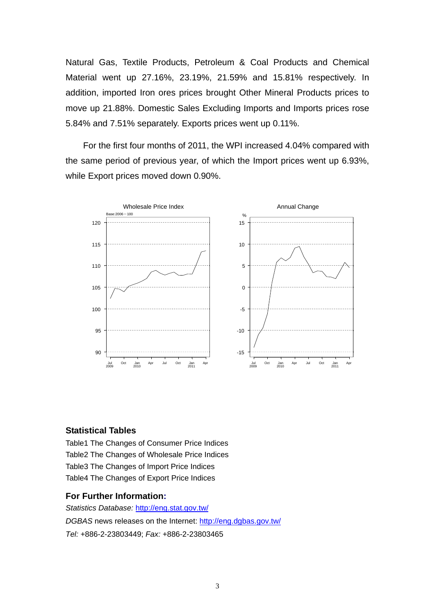Natural Gas, Textile Products, Petroleum & Coal Products and Chemical Material went up 27.16%, 23.19%, 21.59% and 15.81% respectively. In addition, imported Iron ores prices brought Other Mineral Products prices to move up 21.88%. Domestic Sales Excluding Imports and Imports prices rose 5.84% and 7.51% separately. Exports prices went up 0.11%.

For the first four months of 2011, the WPI increased 4.04% compared with the same period of previous year, of which the Import prices went up 6.93%, while Export prices moved down 0.90%.



#### **Statistical Tables**

Table1 The Changes of Consumer Price Indices Table2 The Changes of Wholesale Price Indices Table3 The Changes of Import Price Indices Table4 The Changes of Export Price Indices

#### **For Further Information:**

*Statistics Database:* http://eng.stat.gov.tw/ *DGBAS* news releases on the Internet: http://eng.dgbas.gov.tw/ *Tel:* +886-2-23803449; *Fax:* +886-2-23803465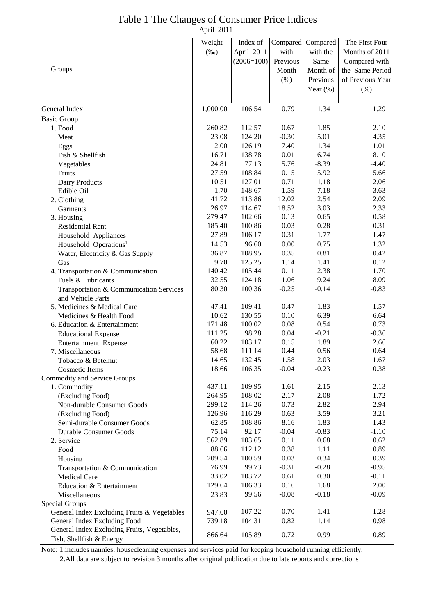| Table 1 The Changes of Consumer Price Indices |  |
|-----------------------------------------------|--|
| April 2011                                    |  |

|                                             | Weight   | Index of     |               | Compared Compared | The First Four   |
|---------------------------------------------|----------|--------------|---------------|-------------------|------------------|
|                                             |          |              | with          | with the          | Months of 2011   |
|                                             | $(\%0)$  | April 2011   |               |                   |                  |
|                                             |          | $(2006=100)$ | Previous      | Same              | Compared with    |
| Groups                                      |          |              | Month         | Month of          | the Same Period  |
|                                             |          |              | (% )          | Previous          | of Previous Year |
|                                             |          |              |               | Year $(\%)$       | $(\% )$          |
| General Index                               | 1,000.00 | 106.54       | 0.79          | 1.34              | 1.29             |
| <b>Basic Group</b>                          |          |              |               |                   |                  |
| 1. Food                                     | 260.82   | 112.57       | 0.67          | 1.85              | 2.10             |
| Meat                                        | 23.08    | 124.20       | $-0.30$       | 5.01              | 4.35             |
|                                             | 2.00     | 126.19       | 7.40          | 1.34              | 1.01             |
| Eggs<br>Fish & Shellfish                    | 16.71    | 138.78       | 0.01          | 6.74              | 8.10             |
|                                             | 24.81    | 77.13        | 5.76          | $-8.39$           | $-4.40$          |
| Vegetables                                  | 27.59    | 108.84       | 0.15          | 5.92              | 5.66             |
| Fruits                                      | 10.51    | 127.01       | 0.71          | 1.18              | 2.06             |
| Dairy Products                              | 1.70     | 148.67       | 1.59          | 7.18              | 3.63             |
| Edible Oil                                  | 41.72    | 113.86       | 12.02         | 2.54              | 2.09             |
| 2. Clothing                                 |          | 114.67       |               | 3.03              |                  |
| Garments                                    | 26.97    |              | 18.52<br>0.13 | 0.65              | 2.33             |
| 3. Housing                                  | 279.47   | 102.66       |               |                   | 0.58             |
| <b>Residential Rent</b>                     | 185.40   | 100.86       | 0.03          | 0.28              | 0.31             |
| Household Appliances                        | 27.89    | 106.17       | 0.31          | 1.77              | 1.47             |
| Household Operations <sup>1</sup>           | 14.53    | 96.60        | 0.00          | 0.75              | 1.32             |
| Water, Electricity & Gas Supply             | 36.87    | 108.95       | 0.35          | 0.81              | 0.42             |
| Gas                                         | 9.70     | 125.25       | 1.14          | 1.41              | 0.12             |
| 4. Transportation & Communication           | 140.42   | 105.44       | 0.11          | 2.38              | 1.70             |
| Fuels & Lubricants                          | 32.55    | 124.18       | 1.06          | 9.24              | 8.09             |
| Transportation & Communication Services     | 80.30    | 100.36       | $-0.25$       | $-0.14$           | $-0.83$          |
| and Vehicle Parts                           |          |              |               |                   |                  |
| 5. Medicines & Medical Care                 | 47.41    | 109.41       | 0.47          | 1.83              | 1.57             |
| Medicines & Health Food                     | 10.62    | 130.55       | 0.10          | 6.39              | 6.64             |
| 6. Education & Entertainment                | 171.48   | 100.02       | 0.08          | 0.54              | 0.73             |
| <b>Educational Expense</b>                  | 111.25   | 98.28        | 0.04          | $-0.21$           | $-0.36$          |
| Entertainment Expense                       | 60.22    | 103.17       | 0.15          | 1.89              | 2.66             |
| 7. Miscellaneous                            | 58.68    | 111.14       | 0.44          | 0.56              | 0.64             |
| Tobacco & Betelnut                          | 14.65    | 132.45       | 1.58          | 2.03              | 1.67             |
| Cosmetic Items                              | 18.66    | 106.35       | $-0.04$       | $-0.23$           | 0.38             |
| Commodity and Service Groups                |          |              |               |                   |                  |
| 1. Commodity                                | 437.11   | 109.95       | 1.61          | 2.15              | 2.13             |
| (Excluding Food)                            | 264.95   | 108.02       | 2.17          | 2.08              | 1.72             |
| Non-durable Consumer Goods                  | 299.12   | 114.26       | 0.73          | 2.82              | 2.94             |
| (Excluding Food)                            | 126.96   | 116.29       | 0.63          | 3.59              | 3.21             |
| Semi-durable Consumer Goods                 | 62.85    | 108.86       | 8.16          | 1.83              | 1.43             |
| Durable Consumer Goods                      | 75.14    | 92.17        | $-0.04$       | $-0.83$           | $-1.10$          |
| 2. Service                                  | 562.89   | 103.65       | 0.11          | 0.68              | 0.62             |
| Food                                        | 88.66    | 112.12       | 0.38          | 1.11              | 0.89             |
| Housing                                     | 209.54   | 100.59       | 0.03          | 0.34              | 0.39             |
| Transportation & Communication              | 76.99    | 99.73        | $-0.31$       | $-0.28$           | $-0.95$          |
| Medical Care                                | 33.02    | 103.72       | 0.61          | 0.30              | $-0.11$          |
| Education & Entertainment                   | 129.64   | 106.33       | 0.16          | 1.68              | 2.00             |
| Miscellaneous                               | 23.83    | 99.56        | $-0.08$       | $-0.18$           | $-0.09$          |
| Special Groups                              |          |              |               |                   |                  |
| General Index Excluding Fruits & Vegetables | 947.60   | 107.22       | 0.70          | 1.41              | 1.28             |
| General Index Excluding Food                | 739.18   | 104.31       | 0.82          | 1.14              | 0.98             |
| General Index Excluding Fruits, Vegetables, | 866.64   | 105.89       | 0.72          | 0.99              | 0.89             |
| Fish, Shellfish & Energy                    |          |              |               |                   |                  |

Note: 1.includes nannies, housecleaning expenses and services paid for keeping household running efficiently. 2.All data are subject to revision 3 months after original publication due to late reports and corrections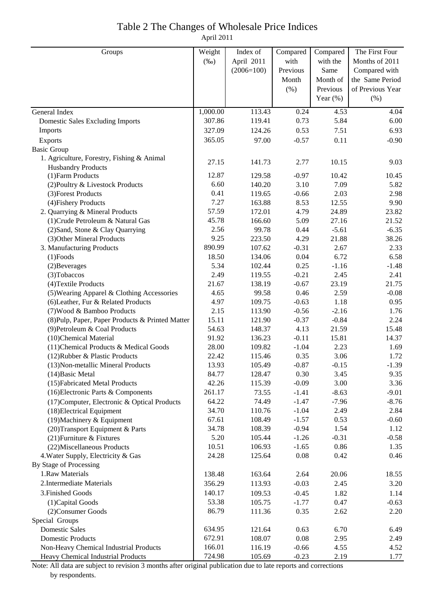# Table 2 The Changes of Wholesale Price Indices

April 2011

| Groups                                           | Weight   | Index of     | Compared | Compared    | The First Four   |
|--------------------------------------------------|----------|--------------|----------|-------------|------------------|
|                                                  | $(\%0)$  | April 2011   | with     | with the    | Months of 2011   |
|                                                  |          | $(2006=100)$ | Previous | Same        | Compared with    |
|                                                  |          |              | Month    | Month of    | the Same Period  |
|                                                  |          |              | (% )     | Previous    | of Previous Year |
|                                                  |          |              |          | Year $(\%)$ | (% )             |
| General Index                                    | 1,000.00 | 113.43       | 0.24     | 4.53        | 4.04             |
| Domestic Sales Excluding Imports                 | 307.86   | 119.41       | 0.73     | 5.84        | 6.00             |
| Imports                                          | 327.09   | 124.26       | 0.53     | 7.51        | 6.93             |
| Exports                                          | 365.05   | 97.00        | $-0.57$  | 0.11        | $-0.90$          |
| <b>Basic Group</b>                               |          |              |          |             |                  |
| 1. Agriculture, Forestry, Fishing & Animal       |          |              |          |             |                  |
| <b>Husbandry Products</b>                        | 27.15    | 141.73       | 2.77     | 10.15       | 9.03             |
| (1) Farm Products                                | 12.87    | 129.58       | $-0.97$  | 10.42       | 10.45            |
| (2) Poultry & Livestock Products                 | 6.60     | 140.20       | 3.10     | 7.09        | 5.82             |
| (3) Forest Products                              | 0.41     | 119.65       | $-0.66$  | 2.03        | 2.98             |
| (4) Fishery Products                             | 7.27     | 163.88       | 8.53     | 12.55       | 9.90             |
| 2. Quarrying & Mineral Products                  | 57.59    | 172.01       | 4.79     | 24.89       | 23.82            |
| (1) Crude Petroleum & Natural Gas                | 45.78    | 166.60       | 5.09     | 27.16       | 21.52            |
| (2) Sand, Stone & Clay Quarrying                 | 2.56     | 99.78        | 0.44     | $-5.61$     | $-6.35$          |
| (3) Other Mineral Products                       | 9.25     | 223.50       | 4.29     | 21.88       | 38.26            |
| 3. Manufacturing Products                        | 890.99   | 107.62       | $-0.31$  | 2.67        | 2.33             |
| $(1)$ Foods                                      | 18.50    | 134.06       | 0.04     | 6.72        | 6.58             |
| (2) Beverages                                    | 5.34     | 102.44       | 0.25     | $-1.16$     | $-1.48$          |
| (3) Tobaccos                                     | 2.49     | 119.55       | $-0.21$  | 2.45        | 2.41             |
| (4) Textile Products                             | 21.67    | 138.19       | $-0.67$  | 23.19       | 21.75            |
| (5) Wearing Apparel & Clothing Accessories       | 4.65     | 99.58        | 0.46     | 2.59        | $-0.08$          |
| (6) Leather, Fur & Related Products              | 4.97     | 109.75       | $-0.63$  | 1.18        | 0.95             |
| (7) Wood & Bamboo Products                       | 2.15     | 113.90       | $-0.56$  | $-2.16$     | 1.76             |
| (8) Pulp, Paper, Paper Products & Printed Matter | 15.11    | 121.90       | $-0.37$  | $-0.84$     | 2.24             |
| (9) Petroleum & Coal Products                    | 54.63    | 148.37       | 4.13     | 21.59       | 15.48            |
| (10)Chemical Material                            | 91.92    | 136.23       | $-0.11$  | 15.81       | 14.37            |
| (11) Chemical Products & Medical Goods           | 28.00    | 109.82       | $-1.04$  | 2.23        | 1.69             |
| (12) Rubber & Plastic Products                   | 22.42    | 115.46       | 0.35     | 3.06        | 1.72             |
| (13) Non-metallic Mineral Products               | 13.93    | 105.49       | $-0.87$  | $-0.15$     | $-1.39$          |
| $(14)$ Basic Metal                               | 84.77    | 128.47       | 0.30     | 3.45        | 9.35             |
| (15) Fabricated Metal Products                   | 42.26    | 115.39       | $-0.09$  | 3.00        | 3.36             |
| (16) Electronic Parts & Components               | 261.17   | 73.55        | $-1.41$  | $-8.63$     | $-9.01$          |
| (17) Computer, Electronic & Optical Products     | 64.22    | 74.49        | $-1.47$  | $-7.96$     | $-8.76$          |
| (18) Electrical Equipment                        | 34.70    | 110.76       | $-1.04$  | 2.49        | 2.84             |
| (19) Machinery & Equipment                       | 67.61    | 108.49       | $-1.57$  | 0.53        | $-0.60$          |
| (20) Transport Equipment & Parts                 | 34.78    | 108.39       | $-0.94$  | 1.54        | 1.12             |
| (21) Furniture & Fixtures                        | 5.20     | 105.44       | $-1.26$  | $-0.31$     | $-0.58$          |
| (22) Miscellaneous Products                      | 10.51    | 106.93       | $-1.65$  | 0.86        | 1.35             |
| 4. Water Supply, Electricity & Gas               | 24.28    | 125.64       | 0.08     | 0.42        | 0.46             |
| By Stage of Processing                           |          |              |          |             |                  |
| 1.Raw Materials                                  | 138.48   | 163.64       | 2.64     | 20.06       | 18.55            |
| 2. Intermediate Materials                        | 356.29   | 113.93       | $-0.03$  | 2.45        | 3.20             |
| 3. Finished Goods                                | 140.17   | 109.53       | $-0.45$  | 1.82        | 1.14             |
| (1) Capital Goods                                | 53.38    | 105.75       | $-1.77$  | 0.47        | $-0.63$          |
| (2) Consumer Goods                               | 86.79    | 111.36       | 0.35     | 2.62        | 2.20             |
| Special Groups                                   |          |              |          |             |                  |
| <b>Domestic Sales</b>                            | 634.95   | 121.64       | 0.63     | 6.70        | 6.49             |
| <b>Domestic Products</b>                         | 672.91   | 108.07       | 0.08     | 2.95        | 2.49             |
| Non-Heavy Chemical Industrial Products           | 166.01   | 116.19       | $-0.66$  | 4.55        | 4.52             |
| Heavy Chemical Industrial Products               | 724.98   | 105.69       | $-0.23$  | 2.19        | 1.77             |

Note: All data are subject to revision 3 months after original publication due to late reports and corrections by respondents.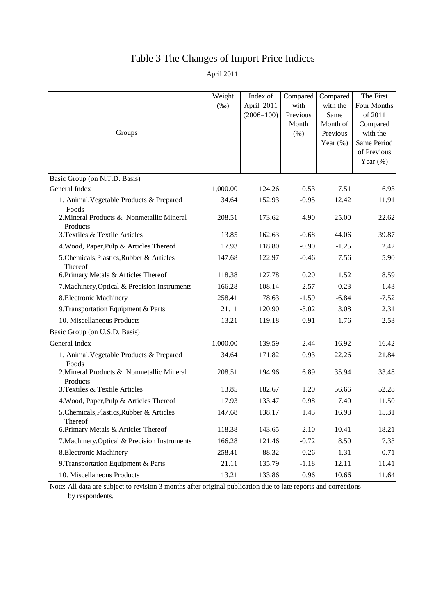# Table 3 The Changes of Import Price Indices

April 2011

| Groups                                                | Weight<br>$(\%0)$ | Index of<br>April 2011<br>$(2006=100)$ | Compared<br>with<br>Previous<br>Month<br>(%) | Compared<br>with the<br>Same<br>Month of<br>Previous<br>Year $(\%)$ | The First<br>Four Months<br>of 2011<br>Compared<br>with the<br>Same Period<br>of Previous<br>Year $(\%)$ |
|-------------------------------------------------------|-------------------|----------------------------------------|----------------------------------------------|---------------------------------------------------------------------|----------------------------------------------------------------------------------------------------------|
| Basic Group (on N.T.D. Basis)                         |                   |                                        |                                              |                                                                     |                                                                                                          |
| General Index                                         | 1,000.00          | 124.26                                 | 0.53                                         | 7.51                                                                | 6.93                                                                                                     |
| 1. Animal, Vegetable Products & Prepared<br>Foods     | 34.64             | 152.93                                 | $-0.95$                                      | 12.42                                                               | 11.91                                                                                                    |
| 2. Mineral Products & Nonmetallic Mineral<br>Products | 208.51            | 173.62                                 | 4.90                                         | 25.00                                                               | 22.62                                                                                                    |
| 3. Textiles & Textile Articles                        | 13.85             | 162.63                                 | $-0.68$                                      | 44.06                                                               | 39.87                                                                                                    |
| 4. Wood, Paper, Pulp & Articles Thereof               | 17.93             | 118.80                                 | $-0.90$                                      | $-1.25$                                                             | 2.42                                                                                                     |
| 5. Chemicals, Plastics, Rubber & Articles<br>Thereof  | 147.68            | 122.97                                 | $-0.46$                                      | 7.56                                                                | 5.90                                                                                                     |
| 6. Primary Metals & Articles Thereof                  | 118.38            | 127.78                                 | 0.20                                         | 1.52                                                                | 8.59                                                                                                     |
| 7. Machinery, Optical & Precision Instruments         | 166.28            | 108.14                                 | $-2.57$                                      | $-0.23$                                                             | $-1.43$                                                                                                  |
| 8. Electronic Machinery                               | 258.41            | 78.63                                  | $-1.59$                                      | $-6.84$                                                             | $-7.52$                                                                                                  |
| 9. Transportation Equipment & Parts                   | 21.11             | 120.90                                 | $-3.02$                                      | 3.08                                                                | 2.31                                                                                                     |
| 10. Miscellaneous Products                            | 13.21             | 119.18                                 | $-0.91$                                      | 1.76                                                                | 2.53                                                                                                     |
| Basic Group (on U.S.D. Basis)                         |                   |                                        |                                              |                                                                     |                                                                                                          |
| General Index                                         | 1,000.00          | 139.59                                 | 2.44                                         | 16.92                                                               | 16.42                                                                                                    |
| 1. Animal, Vegetable Products & Prepared<br>Foods     | 34.64             | 171.82                                 | 0.93                                         | 22.26                                                               | 21.84                                                                                                    |
| 2. Mineral Products & Nonmetallic Mineral<br>Products | 208.51            | 194.96                                 | 6.89                                         | 35.94                                                               | 33.48                                                                                                    |
| 3. Textiles & Textile Articles                        | 13.85             | 182.67                                 | 1.20                                         | 56.66                                                               | 52.28                                                                                                    |
| 4. Wood, Paper, Pulp & Articles Thereof               | 17.93             | 133.47                                 | 0.98                                         | 7.40                                                                | 11.50                                                                                                    |
| 5. Chemicals, Plastics, Rubber & Articles<br>Thereof  | 147.68            | 138.17                                 | 1.43                                         | 16.98                                                               | 15.31                                                                                                    |
| 6. Primary Metals & Articles Thereof                  | 118.38            | 143.65                                 | 2.10                                         | 10.41                                                               | 18.21                                                                                                    |
| 7. Machinery, Optical & Precision Instruments         | 166.28            | 121.46                                 | $-0.72$                                      | 8.50                                                                | 7.33                                                                                                     |
| 8. Electronic Machinery                               | 258.41            | 88.32                                  | 0.26                                         | 1.31                                                                | 0.71                                                                                                     |
| 9. Transportation Equipment & Parts                   | 21.11             | 135.79                                 | $-1.18$                                      | 12.11                                                               | 11.41                                                                                                    |
| 10. Miscellaneous Products                            | 13.21             | 133.86                                 | 0.96                                         | 10.66                                                               | 11.64                                                                                                    |

Note: All data are subject to revision 3 months after original publication due to late reports and corrections by respondents.